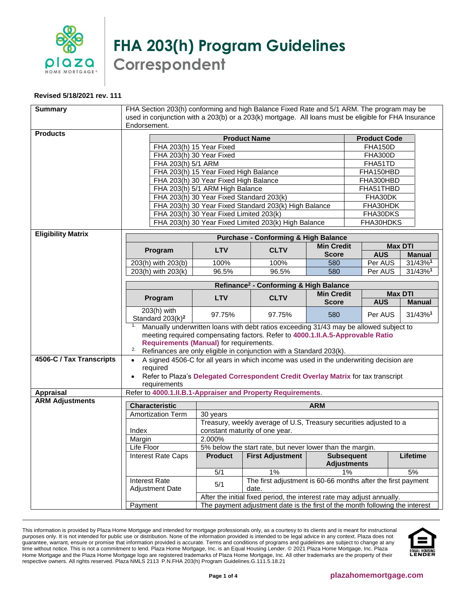

**FHA 203(h) Program Guidelines Correspondent**

## **Revised 5/18/2021 rev. 111**

| <b>Summary</b>            | FHA Section 203(h) conforming and high Balance Fixed Rate and 5/1 ARM. The program may be                            |                                                                              |                                                                    |                                         |                                                              |                     |               |
|---------------------------|----------------------------------------------------------------------------------------------------------------------|------------------------------------------------------------------------------|--------------------------------------------------------------------|-----------------------------------------|--------------------------------------------------------------|---------------------|---------------|
|                           | used in conjunction with a 203(b) or a 203(k) mortgage. All loans must be eligible for FHA Insurance<br>Endorsement. |                                                                              |                                                                    |                                         |                                                              |                     |               |
| <b>Products</b>           |                                                                                                                      |                                                                              |                                                                    |                                         |                                                              |                     |               |
|                           |                                                                                                                      |                                                                              | <b>Product Name</b>                                                |                                         |                                                              | <b>Product Code</b> |               |
|                           |                                                                                                                      | FHA 203(h) 15 Year Fixed<br>FHA 203(h) 30 Year Fixed                         |                                                                    |                                         | <b>FHA150D</b>                                               |                     |               |
|                           | FHA 203(h) 5/1 ARM                                                                                                   |                                                                              |                                                                    |                                         | FHA300D<br>FHA51TD                                           |                     |               |
|                           |                                                                                                                      | FHA 203(h) 15 Year Fixed High Balance                                        |                                                                    |                                         |                                                              | FHA150HBD           |               |
|                           |                                                                                                                      |                                                                              |                                                                    |                                         |                                                              | FHA300HBD           |               |
|                           | FHA 203(h) 30 Year Fixed High Balance<br>FHA 203(h) 5/1 ARM High Balance<br>FHA51THBD                                |                                                                              |                                                                    |                                         |                                                              |                     |               |
|                           | FHA 203(h) 30 Year Fixed Standard 203(k)<br>FHA30DK                                                                  |                                                                              |                                                                    |                                         |                                                              |                     |               |
|                           | FHA 203(h) 30 Year Fixed Standard 203(k) High Balance<br>FHA30HDK                                                    |                                                                              |                                                                    |                                         |                                                              |                     |               |
|                           | FHA 203(h) 30 Year Fixed Limited 203(k)<br>FHA30DKS                                                                  |                                                                              |                                                                    |                                         |                                                              |                     |               |
|                           | FHA 203(h) 30 Year Fixed Limited 203(k) High Balance<br>FHA30HDKS                                                    |                                                                              |                                                                    |                                         |                                                              |                     |               |
| <b>Eligibility Matrix</b> |                                                                                                                      |                                                                              | <b>Purchase - Conforming &amp; High Balance</b>                    |                                         |                                                              |                     |               |
|                           | Program                                                                                                              | <b>LTV</b>                                                                   | <b>CLTV</b>                                                        | <b>Min Credit</b>                       |                                                              | <b>Max DTI</b>      |               |
|                           |                                                                                                                      |                                                                              |                                                                    | <b>Score</b>                            |                                                              | <b>AUS</b>          | <b>Manual</b> |
|                           | 203(h) with 203(b)                                                                                                   | 100%                                                                         | 100%                                                               | 580                                     |                                                              | Per AUS             | 31/43%1       |
|                           | 203(h) with 203(k)                                                                                                   | 96.5%                                                                        | 96.5%                                                              | 580                                     |                                                              | Per AUS             | 31/43%1       |
|                           | Refinance <sup>2</sup> - Conforming & High Balance                                                                   |                                                                              |                                                                    |                                         |                                                              |                     |               |
|                           | Program                                                                                                              | <b>LTV</b>                                                                   | <b>CLTV</b>                                                        | <b>Min Credit</b>                       |                                                              | <b>Max DTI</b>      |               |
|                           |                                                                                                                      |                                                                              |                                                                    | <b>Score</b>                            |                                                              | <b>AUS</b>          | <b>Manual</b> |
|                           | 203(h) with<br>Standard 203(k) <sup>2</sup>                                                                          | 97.75%                                                                       | 97.75%                                                             | 580                                     |                                                              | Per AUS             | 31/43%1       |
|                           | Manually underwritten loans with debt ratios exceeding 31/43 may be allowed subject to<br>1.                         |                                                                              |                                                                    |                                         |                                                              |                     |               |
|                           | meeting required compensating factors. Refer to 4000.1.II.A.5-Approvable Ratio                                       |                                                                              |                                                                    |                                         |                                                              |                     |               |
|                           | Requirements (Manual) for requirements.                                                                              |                                                                              |                                                                    |                                         |                                                              |                     |               |
| 4506-C / Tax Transcripts  | 2.<br>Refinances are only eligible in conjunction with a Standard 203(k).                                            |                                                                              |                                                                    |                                         |                                                              |                     |               |
|                           | A signed 4506-C for all years in which income was used in the underwriting decision are<br>$\bullet$                 |                                                                              |                                                                    |                                         |                                                              |                     |               |
|                           | required<br>Refer to Plaza's Delegated Correspondent Credit Overlay Matrix for tax transcript                        |                                                                              |                                                                    |                                         |                                                              |                     |               |
|                           | requirements                                                                                                         |                                                                              |                                                                    |                                         |                                                              |                     |               |
| Appraisal                 | Refer to 4000.1.II.B.1-Appraiser and Property Requirements.                                                          |                                                                              |                                                                    |                                         |                                                              |                     |               |
| <b>ARM Adjustments</b>    | <b>Characteristic</b>                                                                                                |                                                                              |                                                                    | <b>ARM</b>                              |                                                              |                     |               |
|                           | Amortization Term                                                                                                    | 30 years                                                                     |                                                                    |                                         |                                                              |                     |               |
|                           |                                                                                                                      |                                                                              | Treasury, weekly average of U.S, Treasury securities adjusted to a |                                         |                                                              |                     |               |
|                           | Index                                                                                                                | constant maturity of one year.                                               |                                                                    |                                         |                                                              |                     |               |
|                           | Margin                                                                                                               | 2.000%                                                                       |                                                                    |                                         |                                                              |                     |               |
|                           | Life Floor                                                                                                           | 5% below the start rate, but never lower than the margin.                    |                                                                    |                                         |                                                              |                     |               |
|                           | Interest Rate Caps                                                                                                   | <b>Product</b>                                                               | <b>First Adjustment</b>                                            | <b>Subsequent</b><br><b>Adjustments</b> |                                                              |                     | Lifetime      |
|                           |                                                                                                                      | 5/1                                                                          | 1%                                                                 |                                         | 1%                                                           |                     | 5%            |
|                           | <b>Interest Rate</b><br><b>Adjustment Date</b>                                                                       | 5/1                                                                          | date.                                                              |                                         | The first adjustment is 60-66 months after the first payment |                     |               |
|                           | After the initial fixed period, the interest rate may adjust annually.                                               |                                                                              |                                                                    |                                         |                                                              |                     |               |
|                           | Payment                                                                                                              | The payment adjustment date is the first of the month following the interest |                                                                    |                                         |                                                              |                     |               |
|                           |                                                                                                                      |                                                                              |                                                                    |                                         |                                                              |                     |               |

This information is provided by Plaza Home Mortgage and intended for mortgage professionals only, as a courtesy to its clients and is meant for instructional purposes only. It is not intended for public use or distribution. None of the information provided is intended to be legal advice in any context. Plaza does not guarantee, warrant, ensure or promise that information provided is accurate. Terms and conditions of programs and guidelines are subject to change at any time without notice. This is not a commitment to lend. Plaza Home Mortgage, Inc. is an Equal Housing Lender. © 2021 Plaza Home Mortgage, Inc. Plaza Home Mortgage and the Plaza Home Mortgage logo are registered trademarks of Plaza Home Mortgage, Inc. All other trademarks are the property of their respective owners. All rights reserved. Plaza NMLS 2113 P.N.FHA 203(h) Program Guidelines.G.111.5.18.21

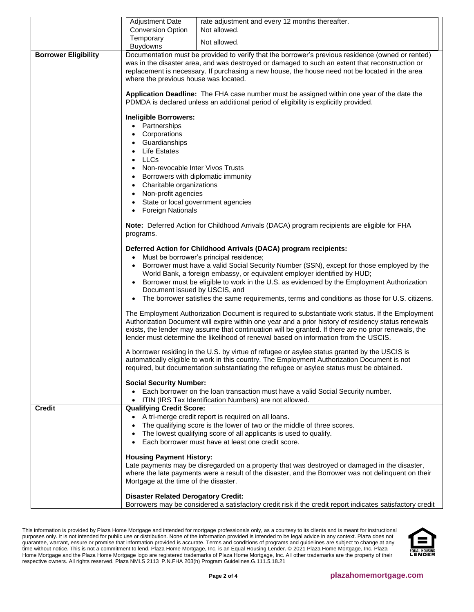|                             | <b>Adjustment Date</b>                                                                                                                                                                                                                                                                                                                                                                                                                                                                                                                | rate adjustment and every 12 months thereafter.                                                                                                                                                                                                                                                                                                                                                                                                                                       |  |  |
|-----------------------------|---------------------------------------------------------------------------------------------------------------------------------------------------------------------------------------------------------------------------------------------------------------------------------------------------------------------------------------------------------------------------------------------------------------------------------------------------------------------------------------------------------------------------------------|---------------------------------------------------------------------------------------------------------------------------------------------------------------------------------------------------------------------------------------------------------------------------------------------------------------------------------------------------------------------------------------------------------------------------------------------------------------------------------------|--|--|
|                             | <b>Conversion Option</b>                                                                                                                                                                                                                                                                                                                                                                                                                                                                                                              | Not allowed.                                                                                                                                                                                                                                                                                                                                                                                                                                                                          |  |  |
|                             | Temporary<br><b>Buydowns</b>                                                                                                                                                                                                                                                                                                                                                                                                                                                                                                          | Not allowed.                                                                                                                                                                                                                                                                                                                                                                                                                                                                          |  |  |
| <b>Borrower Eligibility</b> | Documentation must be provided to verify that the borrower's previous residence (owned or rented)<br>was in the disaster area, and was destroyed or damaged to such an extent that reconstruction or<br>replacement is necessary. If purchasing a new house, the house need not be located in the area<br>where the previous house was located.<br>Application Deadline: The FHA case number must be assigned within one year of the date the<br>PDMDA is declared unless an additional period of eligibility is explicitly provided. |                                                                                                                                                                                                                                                                                                                                                                                                                                                                                       |  |  |
|                             | <b>Ineligible Borrowers:</b><br>• Partnerships<br>Corporations<br>$\bullet$<br>Guardianships<br><b>Life Estates</b><br><b>LLCs</b><br>Non-revocable Inter Vivos Trusts<br>Borrowers with diplomatic immunity<br>Charitable organizations<br>$\bullet$<br>Non-profit agencies<br>$\bullet$                                                                                                                                                                                                                                             |                                                                                                                                                                                                                                                                                                                                                                                                                                                                                       |  |  |
|                             | State or local government agencies<br><b>Foreign Nationals</b><br>programs.                                                                                                                                                                                                                                                                                                                                                                                                                                                           | Note: Deferred Action for Childhood Arrivals (DACA) program recipients are eligible for FHA                                                                                                                                                                                                                                                                                                                                                                                           |  |  |
|                             | Document issued by USCIS, and                                                                                                                                                                                                                                                                                                                                                                                                                                                                                                         | Deferred Action for Childhood Arrivals (DACA) program recipients:<br>Must be borrower's principal residence;<br>Borrower must have a valid Social Security Number (SSN), except for those employed by the<br>World Bank, a foreign embassy, or equivalent employer identified by HUD;<br>Borrower must be eligible to work in the U.S. as evidenced by the Employment Authorization<br>The borrower satisfies the same requirements, terms and conditions as those for U.S. citizens. |  |  |
|                             |                                                                                                                                                                                                                                                                                                                                                                                                                                                                                                                                       | The Employment Authorization Document is required to substantiate work status. If the Employment<br>Authorization Document will expire within one year and a prior history of residency status renewals<br>exists, the lender may assume that continuation will be granted. If there are no prior renewals, the<br>lender must determine the likelihood of renewal based on information from the USCIS.                                                                               |  |  |
|                             | <b>Social Security Number:</b>                                                                                                                                                                                                                                                                                                                                                                                                                                                                                                        | A borrower residing in the U.S. by virtue of refugee or asylee status granted by the USCIS is<br>automatically eligible to work in this country. The Employment Authorization Document is not<br>required, but documentation substantiating the refugee or asylee status must be obtained.                                                                                                                                                                                            |  |  |
|                             |                                                                                                                                                                                                                                                                                                                                                                                                                                                                                                                                       | Each borrower on the loan transaction must have a valid Social Security number.<br>ITIN (IRS Tax Identification Numbers) are not allowed.                                                                                                                                                                                                                                                                                                                                             |  |  |
| <b>Credit</b>               | <b>Qualifying Credit Score:</b>                                                                                                                                                                                                                                                                                                                                                                                                                                                                                                       | • A tri-merge credit report is required on all loans.<br>The qualifying score is the lower of two or the middle of three scores.<br>The lowest qualifying score of all applicants is used to qualify.<br>Each borrower must have at least one credit score.                                                                                                                                                                                                                           |  |  |
|                             | <b>Housing Payment History:</b><br>Mortgage at the time of the disaster.                                                                                                                                                                                                                                                                                                                                                                                                                                                              | Late payments may be disregarded on a property that was destroyed or damaged in the disaster,<br>where the late payments were a result of the disaster, and the Borrower was not delinquent on their                                                                                                                                                                                                                                                                                  |  |  |
|                             | <b>Disaster Related Derogatory Credit:</b>                                                                                                                                                                                                                                                                                                                                                                                                                                                                                            | Borrowers may be considered a satisfactory credit risk if the credit report indicates satisfactory credit                                                                                                                                                                                                                                                                                                                                                                             |  |  |

This information is provided by Plaza Home Mortgage and intended for mortgage professionals only, as a courtesy to its clients and is meant for instructional purposes only. It is not intended for public use or distribution. None of the information provided is intended to be legal advice in any context. Plaza does not guarantee, warrant, ensure or promise that information provided is accurate. Terms and conditions of programs and guidelines are subject to change at any time without notice. This is not a commitment to lend. Plaza Home Mortgage, Inc. is an Equal Housing Lender. © 2021 Plaza Home Mortgage, Inc. Plaza Home Mortgage and the Plaza Home Mortgage logo are registered trademarks of Plaza Home Mortgage, Inc. All other trademarks are the property of their respective owners. All rights reserved. Plaza NMLS 2113 P.N.FHA 203(h) Program Guidelines.G.111.5.18.21

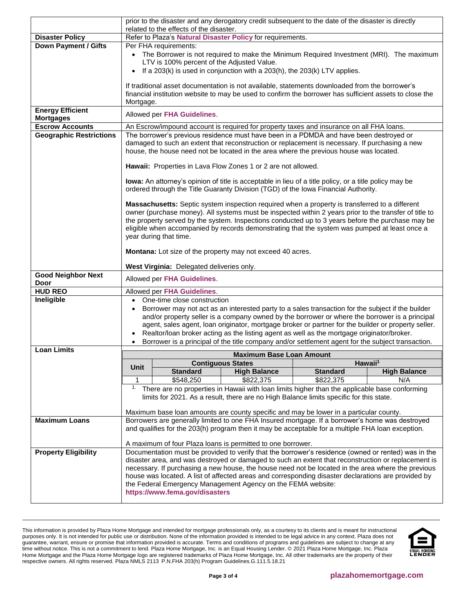|                                            | prior to the disaster and any derogatory credit subsequent to the date of the disaster is directly<br>related to the effects of the disaster.                                                                                                                                                                                                                                                                                            |                                                                                                                                                                                                      |                                                                                                         |                 |                     |  |
|--------------------------------------------|------------------------------------------------------------------------------------------------------------------------------------------------------------------------------------------------------------------------------------------------------------------------------------------------------------------------------------------------------------------------------------------------------------------------------------------|------------------------------------------------------------------------------------------------------------------------------------------------------------------------------------------------------|---------------------------------------------------------------------------------------------------------|-----------------|---------------------|--|
| <b>Disaster Policy</b>                     | Refer to Plaza's Natural Disaster Policy for requirements.                                                                                                                                                                                                                                                                                                                                                                               |                                                                                                                                                                                                      |                                                                                                         |                 |                     |  |
| <b>Down Payment / Gifts</b>                |                                                                                                                                                                                                                                                                                                                                                                                                                                          | Per FHA requirements:                                                                                                                                                                                |                                                                                                         |                 |                     |  |
|                                            |                                                                                                                                                                                                                                                                                                                                                                                                                                          |                                                                                                                                                                                                      | • The Borrower is not required to make the Minimum Required Investment (MRI). The maximum               |                 |                     |  |
|                                            |                                                                                                                                                                                                                                                                                                                                                                                                                                          | LTV is 100% percent of the Adjusted Value.                                                                                                                                                           |                                                                                                         |                 |                     |  |
|                                            | $\bullet$                                                                                                                                                                                                                                                                                                                                                                                                                                |                                                                                                                                                                                                      | If a 203(k) is used in conjunction with a 203(h), the 203(k) LTV applies.                               |                 |                     |  |
|                                            |                                                                                                                                                                                                                                                                                                                                                                                                                                          |                                                                                                                                                                                                      | If traditional asset documentation is not available, statements downloaded from the borrower's          |                 |                     |  |
|                                            |                                                                                                                                                                                                                                                                                                                                                                                                                                          |                                                                                                                                                                                                      | financial institution website to may be used to confirm the borrower has sufficient assets to close the |                 |                     |  |
|                                            | Mortgage.                                                                                                                                                                                                                                                                                                                                                                                                                                |                                                                                                                                                                                                      |                                                                                                         |                 |                     |  |
| <b>Energy Efficient</b>                    | Allowed per FHA Guidelines.                                                                                                                                                                                                                                                                                                                                                                                                              |                                                                                                                                                                                                      |                                                                                                         |                 |                     |  |
| <b>Mortgages</b><br><b>Escrow Accounts</b> |                                                                                                                                                                                                                                                                                                                                                                                                                                          |                                                                                                                                                                                                      |                                                                                                         |                 |                     |  |
| <b>Geographic Restrictions</b>             | An Escrow/impound account is required for property taxes and insurance on all FHA loans.<br>The borrower's previous residence must have been in a PDMDA and have been destroyed or                                                                                                                                                                                                                                                       |                                                                                                                                                                                                      |                                                                                                         |                 |                     |  |
|                                            | damaged to such an extent that reconstruction or replacement is necessary. If purchasing a new<br>house, the house need not be located in the area where the previous house was located.                                                                                                                                                                                                                                                 |                                                                                                                                                                                                      |                                                                                                         |                 |                     |  |
|                                            | Hawaii: Properties in Lava Flow Zones 1 or 2 are not allowed.                                                                                                                                                                                                                                                                                                                                                                            |                                                                                                                                                                                                      |                                                                                                         |                 |                     |  |
|                                            | lowa: An attorney's opinion of title is acceptable in lieu of a title policy, or a title policy may be<br>ordered through the Title Guaranty Division (TGD) of the lowa Financial Authority.                                                                                                                                                                                                                                             |                                                                                                                                                                                                      |                                                                                                         |                 |                     |  |
|                                            | Massachusetts: Septic system inspection required when a property is transferred to a different<br>owner (purchase money). All systems must be inspected within 2 years prior to the transfer of title to<br>the property served by the system. Inspections conducted up to 3 years before the purchase may be<br>eligible when accompanied by records demonstrating that the system was pumped at least once a<br>year during that time. |                                                                                                                                                                                                      |                                                                                                         |                 |                     |  |
|                                            | Montana: Lot size of the property may not exceed 40 acres.                                                                                                                                                                                                                                                                                                                                                                               |                                                                                                                                                                                                      |                                                                                                         |                 |                     |  |
|                                            |                                                                                                                                                                                                                                                                                                                                                                                                                                          | <b>West Virginia: Delegated deliveries only.</b>                                                                                                                                                     |                                                                                                         |                 |                     |  |
| <b>Good Neighbor Next</b><br>Door          |                                                                                                                                                                                                                                                                                                                                                                                                                                          | Allowed per FHA Guidelines.                                                                                                                                                                          |                                                                                                         |                 |                     |  |
| <b>HUD REO</b>                             |                                                                                                                                                                                                                                                                                                                                                                                                                                          | Allowed per FHA Guidelines.                                                                                                                                                                          |                                                                                                         |                 |                     |  |
| Ineligible                                 | One-time close construction<br>$\bullet$                                                                                                                                                                                                                                                                                                                                                                                                 |                                                                                                                                                                                                      |                                                                                                         |                 |                     |  |
|                                            | Borrower may not act as an interested party to a sales transaction for the subject if the builder                                                                                                                                                                                                                                                                                                                                        |                                                                                                                                                                                                      |                                                                                                         |                 |                     |  |
|                                            | and/or property seller is a company owned by the borrower or where the borrower is a principal                                                                                                                                                                                                                                                                                                                                           |                                                                                                                                                                                                      |                                                                                                         |                 |                     |  |
|                                            | agent, sales agent, loan originator, mortgage broker or partner for the builder or property seller.                                                                                                                                                                                                                                                                                                                                      |                                                                                                                                                                                                      |                                                                                                         |                 |                     |  |
|                                            | Realtor/loan broker acting as the listing agent as well as the mortgage originator/broker.<br>Borrower is a principal of the title company and/or settlement agent for the subject transaction.                                                                                                                                                                                                                                          |                                                                                                                                                                                                      |                                                                                                         |                 |                     |  |
| <b>Loan Limits</b>                         |                                                                                                                                                                                                                                                                                                                                                                                                                                          |                                                                                                                                                                                                      |                                                                                                         |                 |                     |  |
|                                            |                                                                                                                                                                                                                                                                                                                                                                                                                                          |                                                                                                                                                                                                      | <b>Maximum Base Loan Amount</b><br><b>Contiguous States</b>                                             |                 | Hawaii <sup>1</sup> |  |
|                                            | Unit                                                                                                                                                                                                                                                                                                                                                                                                                                     | <b>Standard</b>                                                                                                                                                                                      | <b>High Balance</b>                                                                                     | <b>Standard</b> | <b>High Balance</b> |  |
|                                            | 1                                                                                                                                                                                                                                                                                                                                                                                                                                        | \$548,250                                                                                                                                                                                            | \$822,375                                                                                               | \$822,375       | N/A                 |  |
|                                            | 1.                                                                                                                                                                                                                                                                                                                                                                                                                                       |                                                                                                                                                                                                      | There are no properties in Hawaii with loan limits higher than the applicable base conforming           |                 |                     |  |
|                                            | limits for 2021. As a result, there are no High Balance limits specific for this state.                                                                                                                                                                                                                                                                                                                                                  |                                                                                                                                                                                                      |                                                                                                         |                 |                     |  |
|                                            |                                                                                                                                                                                                                                                                                                                                                                                                                                          |                                                                                                                                                                                                      | Maximum base loan amounts are county specific and may be lower in a particular county.                  |                 |                     |  |
| <b>Maximum Loans</b>                       |                                                                                                                                                                                                                                                                                                                                                                                                                                          |                                                                                                                                                                                                      |                                                                                                         |                 |                     |  |
|                                            |                                                                                                                                                                                                                                                                                                                                                                                                                                          | Borrowers are generally limited to one FHA Insured mortgage. If a borrower's home was destroyed<br>and qualifies for the 203(h) program then it may be acceptable for a multiple FHA loan exception. |                                                                                                         |                 |                     |  |
|                                            |                                                                                                                                                                                                                                                                                                                                                                                                                                          | A maximum of four Plaza loans is permitted to one borrower.                                                                                                                                          |                                                                                                         |                 |                     |  |
| <b>Property Eligibility</b>                |                                                                                                                                                                                                                                                                                                                                                                                                                                          |                                                                                                                                                                                                      | Documentation must be provided to verify that the borrower's residence (owned or rented) was in the     |                 |                     |  |
|                                            |                                                                                                                                                                                                                                                                                                                                                                                                                                          |                                                                                                                                                                                                      | disaster area, and was destroyed or damaged to such an extent that reconstruction or replacement is     |                 |                     |  |
|                                            | necessary. If purchasing a new house, the house need not be located in the area where the previous                                                                                                                                                                                                                                                                                                                                       |                                                                                                                                                                                                      |                                                                                                         |                 |                     |  |
|                                            | house was located. A list of affected areas and corresponding disaster declarations are provided by<br>the Federal Emergency Management Agency on the FEMA website:                                                                                                                                                                                                                                                                      |                                                                                                                                                                                                      |                                                                                                         |                 |                     |  |
|                                            | https://www.fema.gov/disasters                                                                                                                                                                                                                                                                                                                                                                                                           |                                                                                                                                                                                                      |                                                                                                         |                 |                     |  |
|                                            |                                                                                                                                                                                                                                                                                                                                                                                                                                          |                                                                                                                                                                                                      |                                                                                                         |                 |                     |  |

This information is provided by Plaza Home Mortgage and intended for mortgage professionals only, as a courtesy to its clients and is meant for instructional purposes only. It is not intended for public use or distribution. None of the information provided is intended to be legal advice in any context. Plaza does not guarantee, warrant, ensure or promise that information provided is accurate. Terms and conditions of programs and guidelines are subject to change at any time without notice. This is not a commitment to lend. Plaza Home Mortgage, Inc. is an Equal Housing Lender. © 2021 Plaza Home Mortgage, Inc. Plaza Home Mortgage and the Plaza Home Mortgage logo are registered trademarks of Plaza Home Mortgage, Inc. All other trademarks are the property of their respective owners. All rights reserved. Plaza NMLS 2113 P.N.FHA 203(h) Program Guidelines.G.111.5.18.21